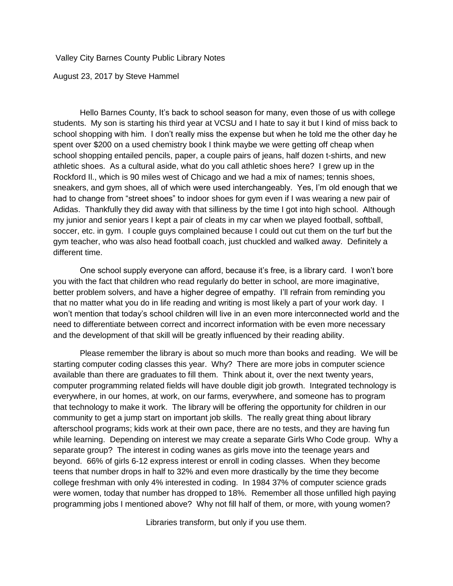Valley City Barnes County Public Library Notes

August 23, 2017 by Steve Hammel

Hello Barnes County, It's back to school season for many, even those of us with college students. My son is starting his third year at VCSU and I hate to say it but I kind of miss back to school shopping with him. I don't really miss the expense but when he told me the other day he spent over \$200 on a used chemistry book I think maybe we were getting off cheap when school shopping entailed pencils, paper, a couple pairs of jeans, half dozen t-shirts, and new athletic shoes. As a cultural aside, what do you call athletic shoes here? I grew up in the Rockford Il., which is 90 miles west of Chicago and we had a mix of names; tennis shoes, sneakers, and gym shoes, all of which were used interchangeably. Yes, I'm old enough that we had to change from "street shoes" to indoor shoes for gym even if I was wearing a new pair of Adidas. Thankfully they did away with that silliness by the time I got into high school. Although my junior and senior years I kept a pair of cleats in my car when we played football, softball, soccer, etc. in gym. I couple guys complained because I could out cut them on the turf but the gym teacher, who was also head football coach, just chuckled and walked away. Definitely a different time.

One school supply everyone can afford, because it's free, is a library card. I won't bore you with the fact that children who read regularly do better in school, are more imaginative, better problem solvers, and have a higher degree of empathy. I'll refrain from reminding you that no matter what you do in life reading and writing is most likely a part of your work day. I won't mention that today's school children will live in an even more interconnected world and the need to differentiate between correct and incorrect information with be even more necessary and the development of that skill will be greatly influenced by their reading ability.

Please remember the library is about so much more than books and reading. We will be starting computer coding classes this year. Why? There are more jobs in computer science available than there are graduates to fill them. Think about it, over the next twenty years, computer programming related fields will have double digit job growth. Integrated technology is everywhere, in our homes, at work, on our farms, everywhere, and someone has to program that technology to make it work. The library will be offering the opportunity for children in our community to get a jump start on important job skills. The really great thing about library afterschool programs; kids work at their own pace, there are no tests, and they are having fun while learning. Depending on interest we may create a separate Girls Who Code group. Why a separate group? The interest in coding wanes as girls move into the teenage years and beyond. 66% of girls 6-12 express interest or enroll in coding classes. When they become teens that number drops in half to 32% and even more drastically by the time they become college freshman with only 4% interested in coding. In 1984 37% of computer science grads were women, today that number has dropped to 18%. Remember all those unfilled high paying programming jobs I mentioned above? Why not fill half of them, or more, with young women?

Libraries transform, but only if you use them.